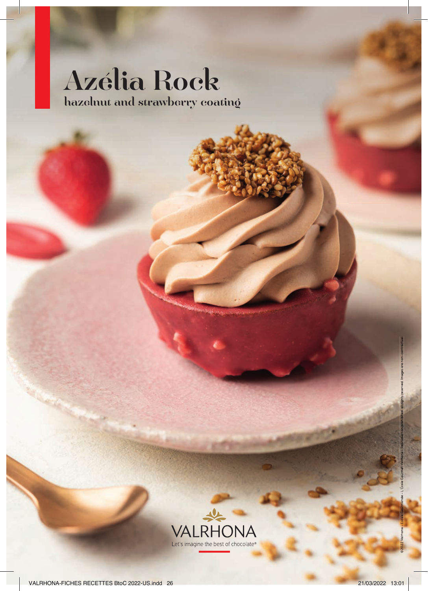# Azélia Rock hazelnut and strawberry coating



©2022 Valrhona – Escale Gourmande – L'École Gourmet Valrhona – Reproduction prohibited, all rights reserved. Images are non-contractual.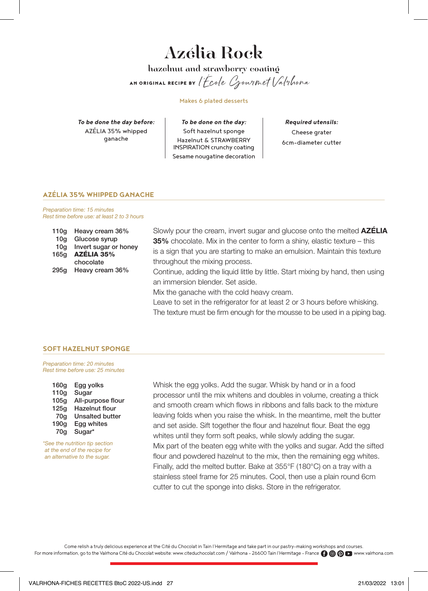### Azélia Rock hazelnut and strawberry coating

AN ORIGINAL RECIPE BY l'École Gourmet Valrhona

Makes 6 plated desserts

*To be done the day before:* AZÉLIA 35% whipped ganache

*To be done on the day:* Soft hazelnut sponge Hazelnut & STRAWBERRY INSPIRATION crunchy coating Sesame nougatine decoration

*Required utensils:* Cheese grater 6cm-diameter cutter

### **AZÉLIA 35% WHIPPED GANACHE**

Preparation time: 15 minutes Rest time before use: at least 2 to 3 hours

| 110g | Heavy cream 36%       |
|------|-----------------------|
| 10q  | Glucose syrup         |
| 10q  | Invert sugar or honey |
| 165a | AZÉLIA 35%            |
|      | chocolate             |
| 295a | Heavy cream 36%       |

Slowly pour the cream, invert sugar and glucose onto the melted **AZÉLIA** 35% chocolate. Mix in the center to form a shiny, elastic texture – this is a sign that you are starting to make an emulsion. Maintain this texture throughout the mixing process.

Continue, adding the liquid little by little. Start mixing by hand, then using an immersion blender. Set aside.

Mix the ganache with the cold heavy cream.

Leave to set in the refrigerator for at least 2 or 3 hours before whisking. The texture must be firm enough for the mousse to be used in a piping bag.

### **SOFT HAZELNUT SPONGE**

Preparation time: 20 minutes Rest time before use: 25 minutes

| 160 <sub>g</sub> | Egg yolks              |
|------------------|------------------------|
| 110q             | Sugar                  |
| 105q             | All-purpose flour      |
| 125q             | Hazelnut flour         |
| 70q              | <b>Unsalted butter</b> |
| 190q             | Egg whites             |
| 70q              | Sugar*                 |
|                  |                        |

\*See the nutrition tip section at the end of the recipe for an alternative to the sugar.

Whisk the egg yolks. Add the sugar. Whisk by hand or in a food processor until the mix whitens and doubles in volume, creating a thick and smooth cream which flows in ribbons and falls back to the mixture leaving folds when you raise the whisk. In the meantime, melt the butter and set aside. Sift together the flour and hazelnut flour. Beat the egg whites until they form soft peaks, while slowly adding the sugar. Mix part of the beaten egg white with the yolks and sugar. Add the sifted flour and powdered hazelnut to the mix, then the remaining egg whites. Finally, add the melted butter. Bake at 355°F (180°C) on a tray with a stainless steel frame for 25 minutes. Cool, then use a plain round 6cm cutter to cut the sponge into disks. Store in the refrigerator.

Come relish a truly delicious experience at the Cité du Chocolat in Tain l'Hermitage and take part in our pastry-making workshops and courses. For more information, go to the Valrhona Cité du Chocolat website: www.citeduchocolat.com / Valrhona - 26600 Tain l'Hermitage - France n + B